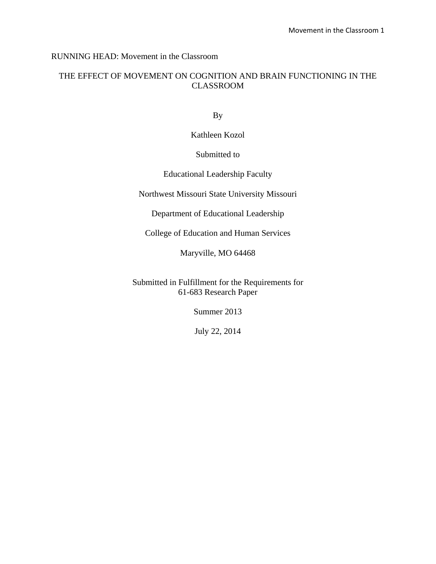# RUNNING HEAD: Movement in the Classroom

# THE EFFECT OF MOVEMENT ON COGNITION AND BRAIN FUNCTIONING IN THE CLASSROOM

By

Kathleen Kozol

# Submitted to

# Educational Leadership Faculty

Northwest Missouri State University Missouri

Department of Educational Leadership

College of Education and Human Services

Maryville, MO 64468

Submitted in Fulfillment for the Requirements for 61-683 Research Paper

Summer 2013

July 22, 2014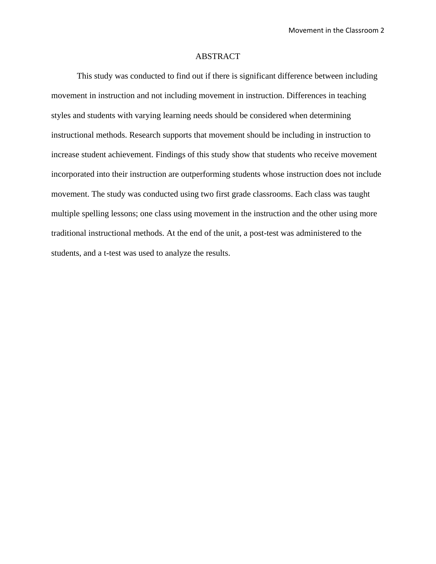#### ABSTRACT

 This study was conducted to find out if there is significant difference between including movement in instruction and not including movement in instruction. Differences in teaching styles and students with varying learning needs should be considered when determining instructional methods. Research supports that movement should be including in instruction to increase student achievement. Findings of this study show that students who receive movement incorporated into their instruction are outperforming students whose instruction does not include movement. The study was conducted using two first grade classrooms. Each class was taught multiple spelling lessons; one class using movement in the instruction and the other using more traditional instructional methods. At the end of the unit, a post-test was administered to the students, and a t-test was used to analyze the results.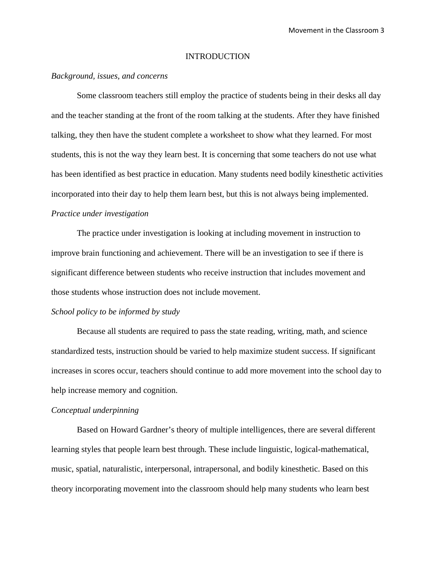### INTRODUCTION

### *Background, issues, and concerns*

Some classroom teachers still employ the practice of students being in their desks all day and the teacher standing at the front of the room talking at the students. After they have finished talking, they then have the student complete a worksheet to show what they learned. For most students, this is not the way they learn best. It is concerning that some teachers do not use what has been identified as best practice in education. Many students need bodily kinesthetic activities incorporated into their day to help them learn best, but this is not always being implemented. *Practice under investigation* 

The practice under investigation is looking at including movement in instruction to improve brain functioning and achievement. There will be an investigation to see if there is significant difference between students who receive instruction that includes movement and those students whose instruction does not include movement.

## *School policy to be informed by study*

Because all students are required to pass the state reading, writing, math, and science standardized tests, instruction should be varied to help maximize student success. If significant increases in scores occur, teachers should continue to add more movement into the school day to help increase memory and cognition.

### *Conceptual underpinning*

Based on Howard Gardner's theory of multiple intelligences, there are several different learning styles that people learn best through. These include linguistic, logical-mathematical, music, spatial, naturalistic, interpersonal, intrapersonal, and bodily kinesthetic. Based on this theory incorporating movement into the classroom should help many students who learn best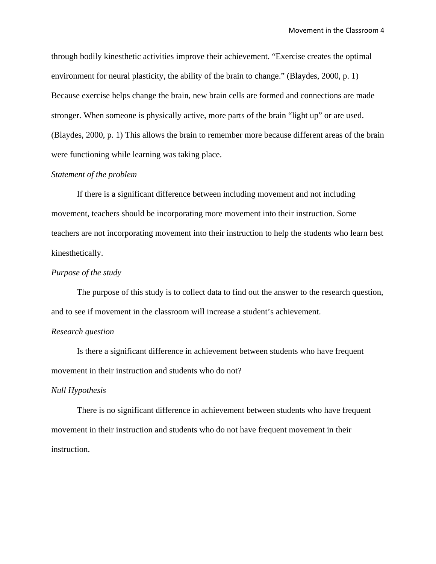through bodily kinesthetic activities improve their achievement. "Exercise creates the optimal environment for neural plasticity, the ability of the brain to change." (Blaydes, 2000, p. 1) Because exercise helps change the brain, new brain cells are formed and connections are made stronger. When someone is physically active, more parts of the brain "light up" or are used. (Blaydes, 2000, p. 1) This allows the brain to remember more because different areas of the brain were functioning while learning was taking place.

# *Statement of the problem*

If there is a significant difference between including movement and not including movement, teachers should be incorporating more movement into their instruction. Some teachers are not incorporating movement into their instruction to help the students who learn best kinesthetically.

### *Purpose of the study*

The purpose of this study is to collect data to find out the answer to the research question, and to see if movement in the classroom will increase a student's achievement.

### *Research question*

Is there a significant difference in achievement between students who have frequent movement in their instruction and students who do not?

#### *Null Hypothesis*

There is no significant difference in achievement between students who have frequent movement in their instruction and students who do not have frequent movement in their instruction.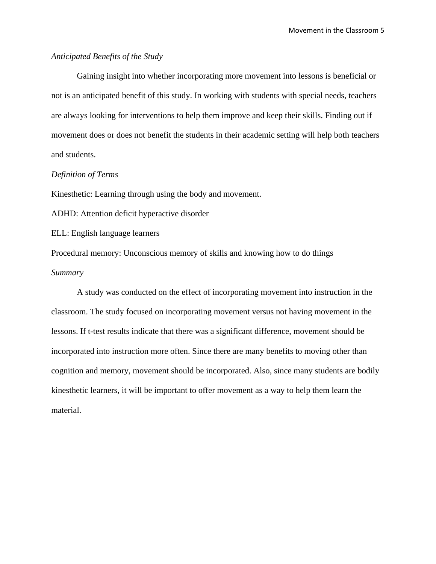## *Anticipated Benefits of the Study*

Gaining insight into whether incorporating more movement into lessons is beneficial or not is an anticipated benefit of this study. In working with students with special needs, teachers are always looking for interventions to help them improve and keep their skills. Finding out if movement does or does not benefit the students in their academic setting will help both teachers and students.

# *Definition of Terms*

Kinesthetic: Learning through using the body and movement.

ADHD: Attention deficit hyperactive disorder

ELL: English language learners

Procedural memory: Unconscious memory of skills and knowing how to do things *Summary*

A study was conducted on the effect of incorporating movement into instruction in the classroom. The study focused on incorporating movement versus not having movement in the lessons. If t-test results indicate that there was a significant difference, movement should be incorporated into instruction more often. Since there are many benefits to moving other than cognition and memory, movement should be incorporated. Also, since many students are bodily kinesthetic learners, it will be important to offer movement as a way to help them learn the material.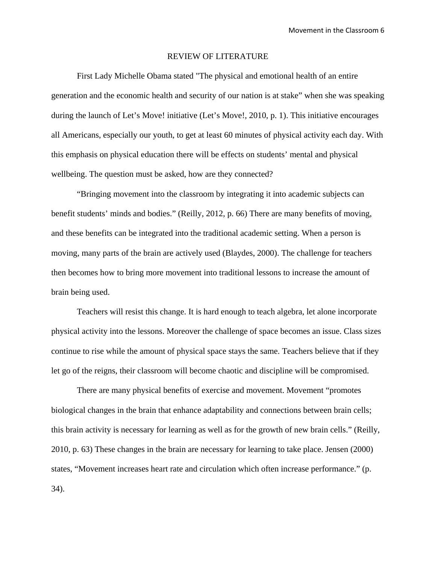#### REVIEW OF LITERATURE

 First Lady Michelle Obama stated "The physical and emotional health of an entire generation and the economic health and security of our nation is at stake" when she was speaking during the launch of Let's Move! initiative (Let's Move!, 2010, p. 1). This initiative encourages all Americans, especially our youth, to get at least 60 minutes of physical activity each day. With this emphasis on physical education there will be effects on students' mental and physical wellbeing. The question must be asked, how are they connected?

 "Bringing movement into the classroom by integrating it into academic subjects can benefit students' minds and bodies." (Reilly, 2012, p. 66) There are many benefits of moving, and these benefits can be integrated into the traditional academic setting. When a person is moving, many parts of the brain are actively used (Blaydes, 2000). The challenge for teachers then becomes how to bring more movement into traditional lessons to increase the amount of brain being used.

 Teachers will resist this change. It is hard enough to teach algebra, let alone incorporate physical activity into the lessons. Moreover the challenge of space becomes an issue. Class sizes continue to rise while the amount of physical space stays the same. Teachers believe that if they let go of the reigns, their classroom will become chaotic and discipline will be compromised.

 There are many physical benefits of exercise and movement. Movement "promotes biological changes in the brain that enhance adaptability and connections between brain cells; this brain activity is necessary for learning as well as for the growth of new brain cells." (Reilly, 2010, p. 63) These changes in the brain are necessary for learning to take place. Jensen (2000) states, "Movement increases heart rate and circulation which often increase performance." (p. 34).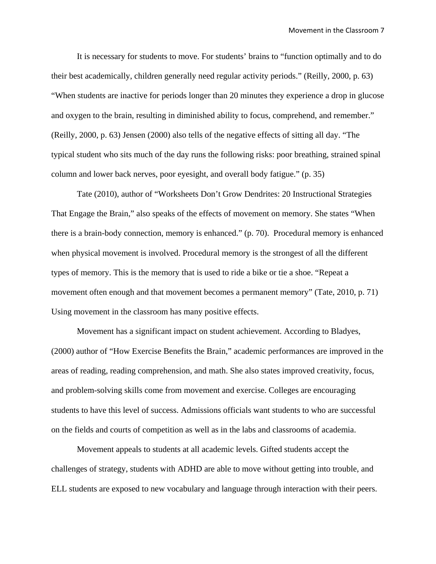It is necessary for students to move. For students' brains to "function optimally and to do their best academically, children generally need regular activity periods." (Reilly, 2000, p. 63) "When students are inactive for periods longer than 20 minutes they experience a drop in glucose and oxygen to the brain, resulting in diminished ability to focus, comprehend, and remember." (Reilly, 2000, p. 63) Jensen (2000) also tells of the negative effects of sitting all day. "The typical student who sits much of the day runs the following risks: poor breathing, strained spinal column and lower back nerves, poor eyesight, and overall body fatigue." (p. 35)

Tate (2010), author of "Worksheets Don't Grow Dendrites: 20 Instructional Strategies That Engage the Brain," also speaks of the effects of movement on memory. She states "When there is a brain-body connection, memory is enhanced." (p. 70). Procedural memory is enhanced when physical movement is involved. Procedural memory is the strongest of all the different types of memory. This is the memory that is used to ride a bike or tie a shoe. "Repeat a movement often enough and that movement becomes a permanent memory" (Tate, 2010, p. 71) Using movement in the classroom has many positive effects.

Movement has a significant impact on student achievement. According to Bladyes, (2000) author of "How Exercise Benefits the Brain," academic performances are improved in the areas of reading, reading comprehension, and math. She also states improved creativity, focus, and problem-solving skills come from movement and exercise. Colleges are encouraging students to have this level of success. Admissions officials want students to who are successful on the fields and courts of competition as well as in the labs and classrooms of academia.

Movement appeals to students at all academic levels. Gifted students accept the challenges of strategy, students with ADHD are able to move without getting into trouble, and ELL students are exposed to new vocabulary and language through interaction with their peers.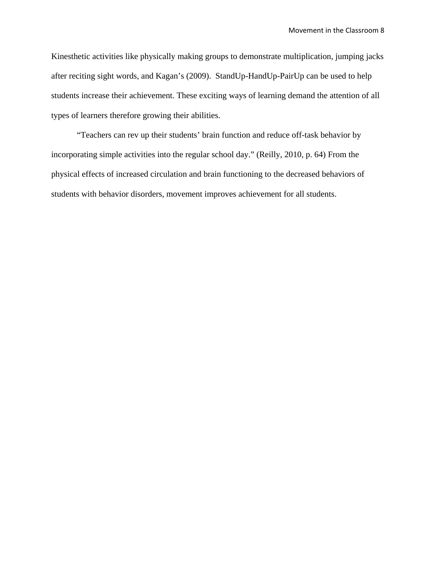Kinesthetic activities like physically making groups to demonstrate multiplication, jumping jacks after reciting sight words, and Kagan's (2009). StandUp-HandUp-PairUp can be used to help students increase their achievement. These exciting ways of learning demand the attention of all types of learners therefore growing their abilities.

"Teachers can rev up their students' brain function and reduce off-task behavior by incorporating simple activities into the regular school day." (Reilly, 2010, p. 64) From the physical effects of increased circulation and brain functioning to the decreased behaviors of students with behavior disorders, movement improves achievement for all students.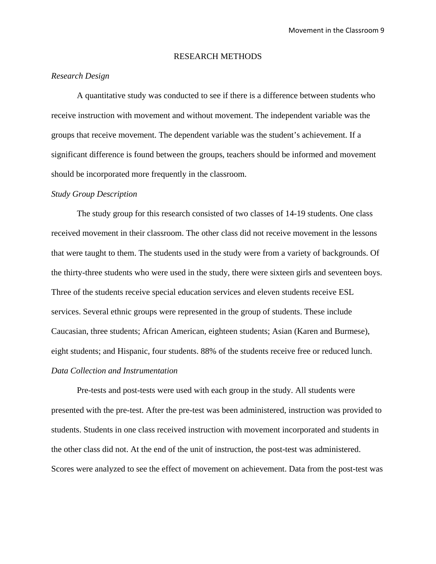#### RESEARCH METHODS

## *Research Design*

A quantitative study was conducted to see if there is a difference between students who receive instruction with movement and without movement. The independent variable was the groups that receive movement. The dependent variable was the student's achievement. If a significant difference is found between the groups, teachers should be informed and movement should be incorporated more frequently in the classroom.

#### *Study Group Description*

The study group for this research consisted of two classes of 14-19 students. One class received movement in their classroom. The other class did not receive movement in the lessons that were taught to them. The students used in the study were from a variety of backgrounds. Of the thirty-three students who were used in the study, there were sixteen girls and seventeen boys. Three of the students receive special education services and eleven students receive ESL services. Several ethnic groups were represented in the group of students. These include Caucasian, three students; African American, eighteen students; Asian (Karen and Burmese), eight students; and Hispanic, four students. 88% of the students receive free or reduced lunch. *Data Collection and Instrumentation* 

Pre-tests and post-tests were used with each group in the study. All students were presented with the pre-test. After the pre-test was been administered, instruction was provided to students. Students in one class received instruction with movement incorporated and students in the other class did not. At the end of the unit of instruction, the post-test was administered. Scores were analyzed to see the effect of movement on achievement. Data from the post-test was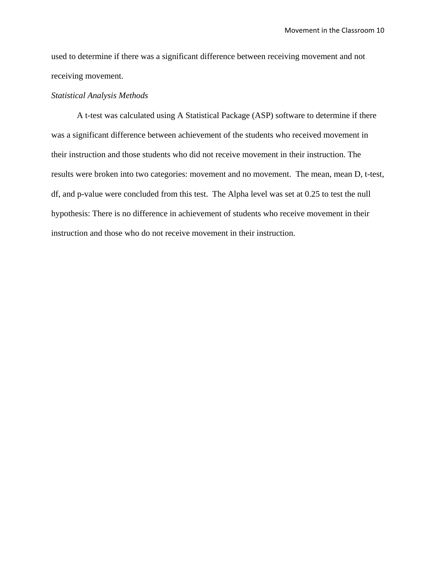used to determine if there was a significant difference between receiving movement and not receiving movement.

#### *Statistical Analysis Methods*

A t-test was calculated using A Statistical Package (ASP) software to determine if there was a significant difference between achievement of the students who received movement in their instruction and those students who did not receive movement in their instruction. The results were broken into two categories: movement and no movement. The mean, mean D, t-test, df, and p-value were concluded from this test. The Alpha level was set at 0.25 to test the null hypothesis: There is no difference in achievement of students who receive movement in their instruction and those who do not receive movement in their instruction.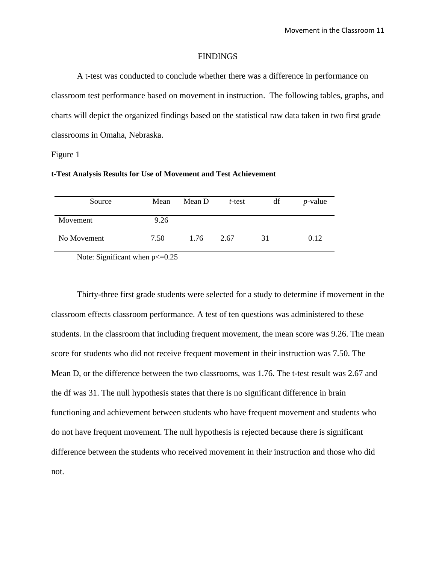#### **FINDINGS**

 A t-test was conducted to conclude whether there was a difference in performance on classroom test performance based on movement in instruction. The following tables, graphs, and charts will depict the organized findings based on the statistical raw data taken in two first grade classrooms in Omaha, Nebraska.

Figure 1

| t-Test Analysis Results for Use of Movement and Test Achievement |  |  |
|------------------------------------------------------------------|--|--|
|------------------------------------------------------------------|--|--|

| Source      | Mean | Mean D | $t$ -test | df | $p$ -value |
|-------------|------|--------|-----------|----|------------|
| Movement    | 9.26 |        |           |    |            |
| No Movement | 7.50 | 1.76   | 2.67      | 31 | 0.12       |
| __<br>$-1$  | ____ |        |           |    |            |

Note: Significant when  $p \le 0.25$ 

Thirty-three first grade students were selected for a study to determine if movement in the classroom effects classroom performance. A test of ten questions was administered to these students. In the classroom that including frequent movement, the mean score was 9.26. The mean score for students who did not receive frequent movement in their instruction was 7.50. The Mean D, or the difference between the two classrooms, was 1.76. The t-test result was 2.67 and the df was 31. The null hypothesis states that there is no significant difference in brain functioning and achievement between students who have frequent movement and students who do not have frequent movement. The null hypothesis is rejected because there is significant difference between the students who received movement in their instruction and those who did not.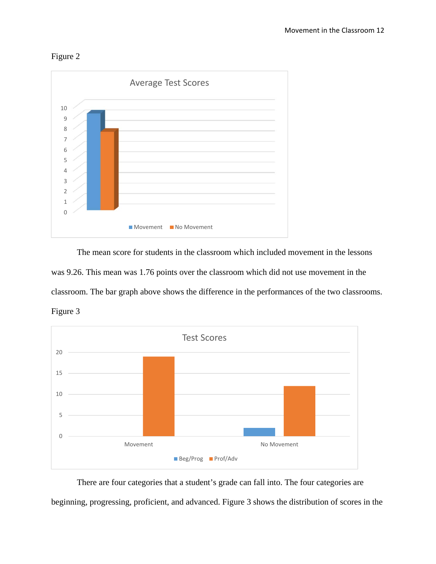



 The mean score for students in the classroom which included movement in the lessons was 9.26. This mean was 1.76 points over the classroom which did not use movement in the classroom. The bar graph above shows the difference in the performances of the two classrooms. Figure 3



There are four categories that a student's grade can fall into. The four categories are beginning, progressing, proficient, and advanced. Figure 3 shows the distribution of scores in the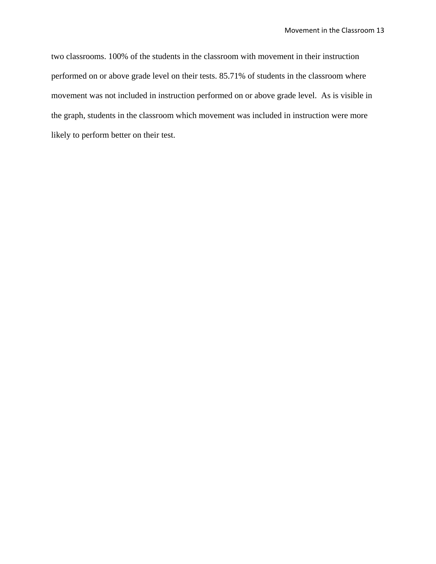two classrooms. 100% of the students in the classroom with movement in their instruction performed on or above grade level on their tests. 85.71% of students in the classroom where movement was not included in instruction performed on or above grade level. As is visible in the graph, students in the classroom which movement was included in instruction were more likely to perform better on their test.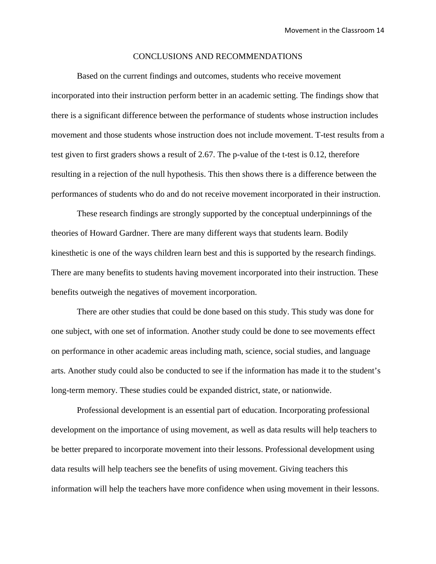#### CONCLUSIONS AND RECOMMENDATIONS

 Based on the current findings and outcomes, students who receive movement incorporated into their instruction perform better in an academic setting. The findings show that there is a significant difference between the performance of students whose instruction includes movement and those students whose instruction does not include movement. T-test results from a test given to first graders shows a result of 2.67. The p-value of the t-test is 0.12, therefore resulting in a rejection of the null hypothesis. This then shows there is a difference between the performances of students who do and do not receive movement incorporated in their instruction.

 These research findings are strongly supported by the conceptual underpinnings of the theories of Howard Gardner. There are many different ways that students learn. Bodily kinesthetic is one of the ways children learn best and this is supported by the research findings. There are many benefits to students having movement incorporated into their instruction. These benefits outweigh the negatives of movement incorporation.

 There are other studies that could be done based on this study. This study was done for one subject, with one set of information. Another study could be done to see movements effect on performance in other academic areas including math, science, social studies, and language arts. Another study could also be conducted to see if the information has made it to the student's long-term memory. These studies could be expanded district, state, or nationwide.

 Professional development is an essential part of education. Incorporating professional development on the importance of using movement, as well as data results will help teachers to be better prepared to incorporate movement into their lessons. Professional development using data results will help teachers see the benefits of using movement. Giving teachers this information will help the teachers have more confidence when using movement in their lessons.